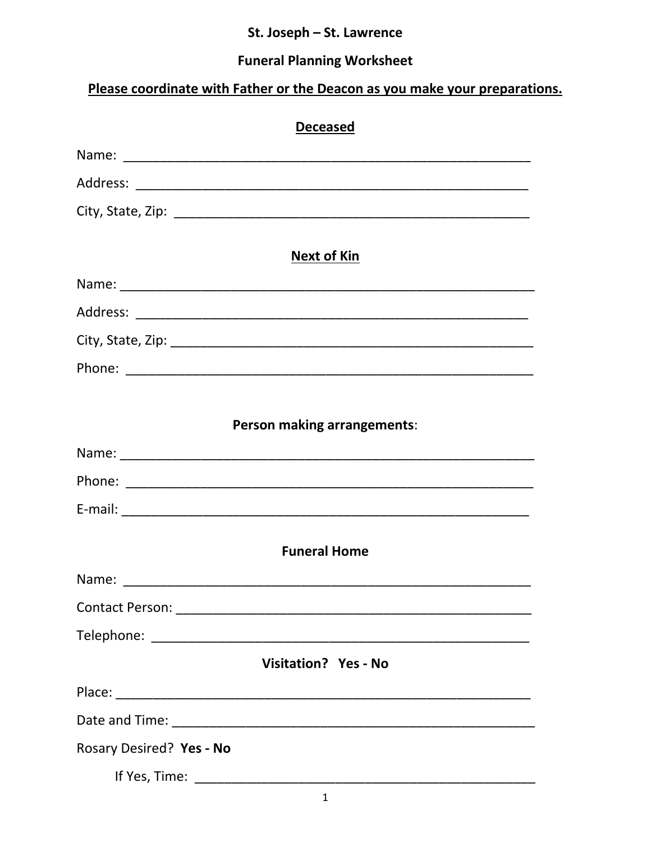# St. Joseph - St. Lawrence

# **Funeral Planning Worksheet**

# Please coordinate with Father or the Deacon as you make your preparations.

| <b>Deceased</b>             |
|-----------------------------|
|                             |
|                             |
|                             |
| <b>Next of Kin</b>          |
|                             |
|                             |
|                             |
|                             |
| Person making arrangements: |
|                             |
|                             |
|                             |
| <b>Funeral Home</b>         |
|                             |
|                             |
|                             |
| <b>Visitation? Yes - No</b> |
|                             |
|                             |
| Rosary Desired? Yes - No    |
|                             |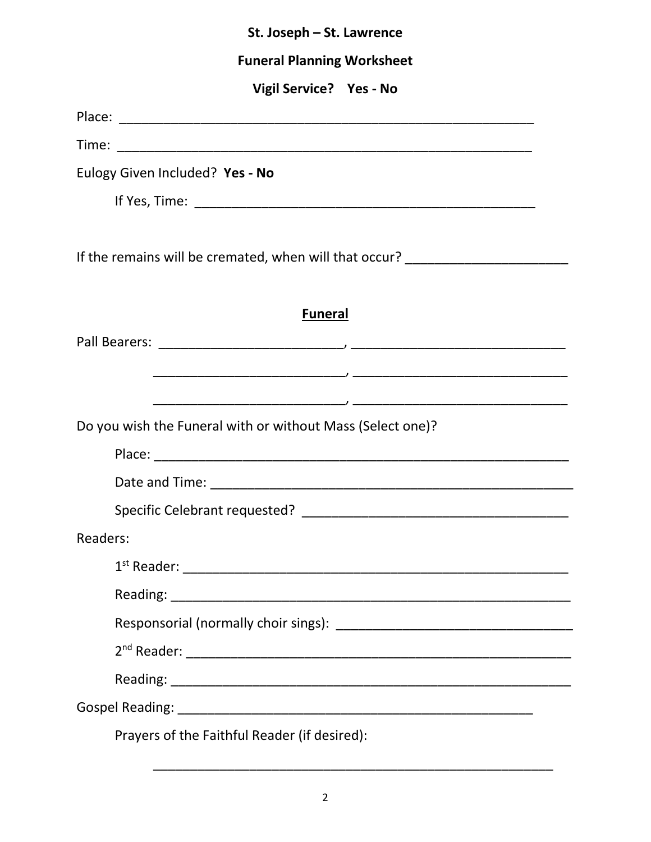| St. Joseph - St. Lawrence                                                        |  |  |
|----------------------------------------------------------------------------------|--|--|
| <b>Funeral Planning Worksheet</b>                                                |  |  |
| Vigil Service? Yes - No                                                          |  |  |
|                                                                                  |  |  |
|                                                                                  |  |  |
| Eulogy Given Included? Yes - No                                                  |  |  |
|                                                                                  |  |  |
| If the remains will be cremated, when will that occur? _________________________ |  |  |
| <b>Funeral</b>                                                                   |  |  |
|                                                                                  |  |  |
|                                                                                  |  |  |
|                                                                                  |  |  |
| Do you wish the Funeral with or without Mass (Select one)?                       |  |  |
|                                                                                  |  |  |
|                                                                                  |  |  |
|                                                                                  |  |  |
| Readers:                                                                         |  |  |
|                                                                                  |  |  |
|                                                                                  |  |  |
|                                                                                  |  |  |
|                                                                                  |  |  |
|                                                                                  |  |  |
|                                                                                  |  |  |
| Prayers of the Faithful Reader (if desired):                                     |  |  |